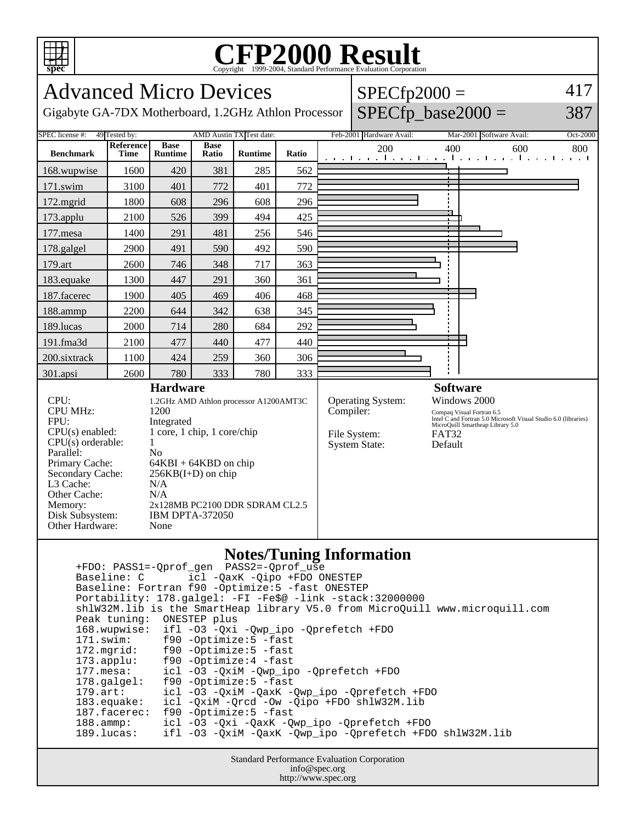

# Copyright ©1999-2004, Standard Performance Evaluation Corporation

Advanced Micro Devices Gigabyte GA-7DX Motherboard, 1.2GHz Athlon Processor  $SPECfp2000 =$  $SPECfp\_base2000 =$ 417 387 SPEC license #: 49 Tested by: AMD Austin TX Test date: Feb-2001 Hardware Avail: Mar-2001 Software Avail: Oct-2000 **Benchmark Reference Time Base Runtime Base Ratio Runtime Ratio** 200 400 600 800 168.wupwise 1600 420 381 285 562 171.swim | 3100 | 401 | 772 | 401 | 772 172.mgrid | 1800 | 608 | 296 | 608 | 296 173.applu | 2100 | 526 | 399 | 494 | 425 177.mesa | 1400 | 291 | 481 | 256 | 546 178.galgel | 2900 | 491 | 590 | 492 | 590 179.art | 2600 | 746 | 348 | 717 | 363 183.equake 1300 447 291 360 361 187.facerec | 1900 405 469 406 406 188.ammp | 2200 | 644 | 342 | 638 | 345 189.lucas | 2000 | 714 | 280 | 684 | 292 191.fma3d 2100 477 440 477 440 200.sixtrack 1100 424 259 360 306 301.apsi 2600 780 333 780 333 **Hardware** CPU: 1.2GHz AMD Athlon processor A1200AMT3C CPU MHz: 1200 FPU: Integrated CPU(s) enabled: 1 core, 1 chip, 1 core/chip  $CPU(s)$  orderable:  $1$ Parallel: No Primary Cache: 64KBI + 64KBD on chip Secondary Cache:  $256KB(I+D)$  on chip L3 Cache: N/A Other Cache: N/A Memory: 2x128MB PC2100 DDR SDRAM CL2.5 Disk Subsystem: IBM DPTA-372050 Other Hardware: None **Software** Operating System: Windows 2000 Compiler: Compaq Visual Fortran 6.5 Intel C and Fortran 5.0 Microsoft Visual Studio 6.0 (libraries) MicroQuill Smartheap Library 5.0 File System: FAT32<br>System State: Default System State:

#### **Notes/Tuning Information**

 +FDO: PASS1=-Qprof\_gen PASS2=-Qprof\_use icl -QaxK -Qipo +FDO ONESTEP Baseline: Fortran f90 -Optimize:5 -fast ONESTEP Portability: 178.galgel: -FI -Fe\$@ -link -stack:32000000 shlW32M.lib is the SmartHeap library V5.0 from MicroQuill www.microquill.com Peak tuning: ONESTEP plus 168.wupwise: ifl -O3 -Qxi -Qwp\_ipo -Qprefetch +FDO 171.swim: f90 -Optimize:5 -fast<br>172.mgrid: f90 -Optimize:5 -fast 172.mgrid: f90 -Optimize:5 -fast 173.applu: f90 -Optimize:4 -fast 177.mesa: icl -O3 -QxiM -Qwp\_ipo -Qprefetch +FDO 178.galgel: f90 -Optimize:5 -fast 179.art: icl -O3 -QxiM -QaxK -Qwp\_ipo -Qprefetch +FDO 183.equake: icl -QxiM -Qrcd -Ow -Qipo +FDO shlW32M.lib 187.facerec: f90 -Optimize:5 -fast 188.ammp: icl -O3 -Qxi -QaxK -Qwp\_ipo -Qprefetch +FDO 189.lucas: ifl -O3 -QxiM -QaxK -Qwp\_ipo -Qprefetch +FDO shlW32M.lib

> Standard Performance Evaluation Corporation info@spec.org http://www.spec.org